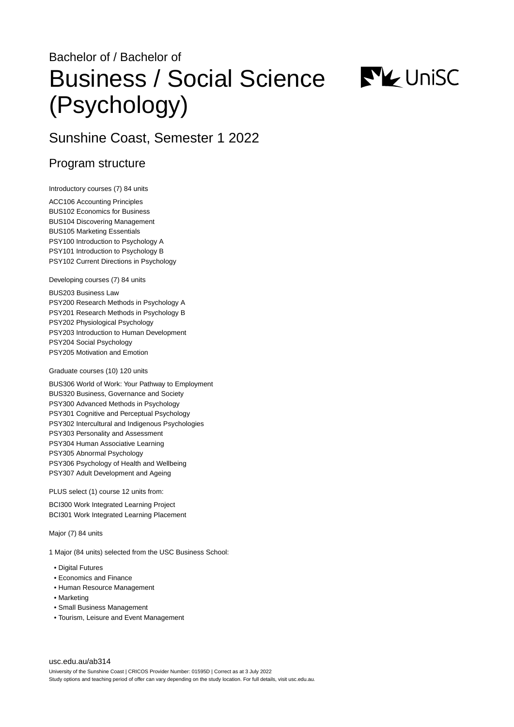# Bachelor of / Bachelor of Business / Social Science (Psychology)



# Sunshine Coast, Semester 1 2022

## Program structure

Introductory courses (7) 84 units

ACC106 Accounting Principles BUS102 Economics for Business BUS104 Discovering Management BUS105 Marketing Essentials PSY100 Introduction to Psychology A PSY101 Introduction to Psychology B PSY102 Current Directions in Psychology

Developing courses (7) 84 units

BUS203 Business Law PSY200 Research Methods in Psychology A PSY201 Research Methods in Psychology B PSY202 Physiological Psychology PSY203 Introduction to Human Development PSY204 Social Psychology PSY205 Motivation and Emotion

#### Graduate courses (10) 120 units

BUS306 World of Work: Your Pathway to Employment BUS320 Business, Governance and Society PSY300 Advanced Methods in Psychology PSY301 Cognitive and Perceptual Psychology PSY302 Intercultural and Indigenous Psychologies PSY303 Personality and Assessment PSY304 Human Associative Learning PSY305 Abnormal Psychology PSY306 Psychology of Health and Wellbeing PSY307 Adult Development and Ageing

PLUS select (1) course 12 units from:

BCI300 Work Integrated Learning Project BCI301 Work Integrated Learning Placement

Major (7) 84 units

1 Major (84 units) selected from the USC Business School:

- Digital Futures
- Economics and Finance
- Human Resource Management
- Marketing
- Small Business Management
- Tourism, Leisure and Event Management

[usc.edu.au/ab314](https://www.usc.edu.au/ab314) University of the Sunshine Coast | CRICOS Provider Number: 01595D | Correct as at 3 July 2022 Study options and teaching period of offer can vary depending on the study location. For full details, visit usc.edu.au.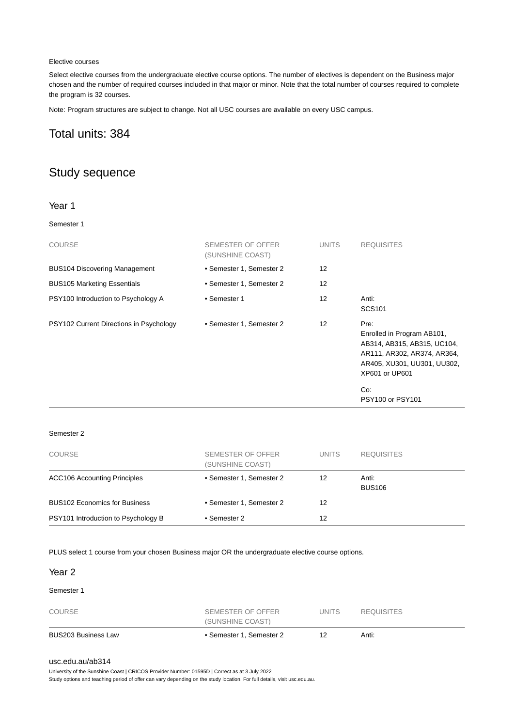#### Elective courses

Select elective courses from the undergraduate elective course options. The number of electives is dependent on the Business major chosen and the number of required courses included in that major or minor. Note that the total number of courses required to complete the program is 32 courses.

Note: Program structures are subject to change. Not all USC courses are available on every USC campus.

# Total units: 384

# Study sequence

#### Year 1

#### Semester 1

| <b>COURSE</b>                           | SEMESTER OF OFFER<br>(SUNSHINE COAST) | <b>UNITS</b>      | <b>REQUISITES</b>                                                                                                                                 |
|-----------------------------------------|---------------------------------------|-------------------|---------------------------------------------------------------------------------------------------------------------------------------------------|
| <b>BUS104 Discovering Management</b>    | • Semester 1, Semester 2              | 12                |                                                                                                                                                   |
| <b>BUS105 Marketing Essentials</b>      | • Semester 1, Semester 2              | $12 \overline{ }$ |                                                                                                                                                   |
| PSY100 Introduction to Psychology A     | • Semester 1                          | $12 \overline{ }$ | Anti:<br>SCS <sub>101</sub>                                                                                                                       |
| PSY102 Current Directions in Psychology | • Semester 1, Semester 2              | $12 \overline{ }$ | Pre:<br>Enrolled in Program AB101,<br>AB314, AB315, AB315, UC104,<br>AR111, AR302, AR374, AR364,<br>AR405, XU301, UU301, UU302,<br>XP601 or UP601 |
|                                         |                                       |                   | Co.<br>PSY100 or PSY101                                                                                                                           |

#### Semester 2

| <b>COURSE</b>                        | SEMESTER OF OFFER<br>(SUNSHINE COAST) | <b>UNITS</b> | <b>REQUISITES</b>      |
|--------------------------------------|---------------------------------------|--------------|------------------------|
| <b>ACC106 Accounting Principles</b>  | • Semester 1, Semester 2              | 12           | Anti:<br><b>BUS106</b> |
| <b>BUS102 Economics for Business</b> | • Semester 1. Semester 2              | 12           |                        |
| PSY101 Introduction to Psychology B  | • Semester 2                          | 12           |                        |

PLUS select 1 course from your chosen Business major OR the undergraduate elective course options.

| BUS203 Business Law | • Semester 1, Semester 2              | 12           | Anti:             |  |
|---------------------|---------------------------------------|--------------|-------------------|--|
| <b>COURSE</b>       | SEMESTER OF OFFER<br>(SUNSHINE COAST) | <b>UNITS</b> | <b>REQUISITES</b> |  |
| Semester 1          |                                       |              |                   |  |
| Year <sub>2</sub>   |                                       |              |                   |  |

#### [usc.edu.au/ab314](https://www.usc.edu.au/ab314)

University of the Sunshine Coast | CRICOS Provider Number: 01595D | Correct as at 3 July 2022

Study options and teaching period of offer can vary depending on the study location. For full details, visit usc.edu.au.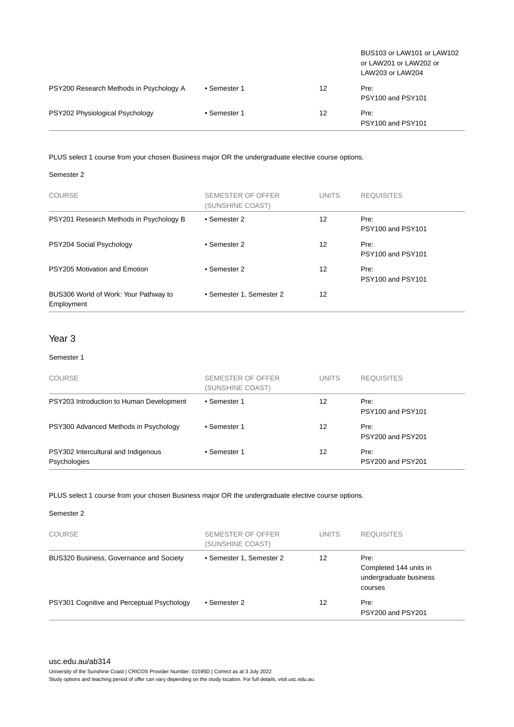|                                         |              |    | BUS103 or LAW101 or LAW102<br>or LAW201 or LAW202 or<br>LAW203 or LAW204 |
|-----------------------------------------|--------------|----|--------------------------------------------------------------------------|
| PSY200 Research Methods in Psychology A | • Semester 1 | 12 | Pre:<br>PSY100 and PSY101                                                |
| PSY202 Physiological Psychology         | • Semester 1 | 12 | Pre:<br>PSY100 and PSY101                                                |

PLUS select 1 course from your chosen Business major OR the undergraduate elective course options.

#### Semester 2

| <b>COURSE</b>                                       | SEMESTER OF OFFER<br>(SUNSHINE COAST) | <b>UNITS</b> | <b>REQUISITES</b>         |
|-----------------------------------------------------|---------------------------------------|--------------|---------------------------|
| PSY201 Research Methods in Psychology B             | • Semester 2                          | 12           | Pre:<br>PSY100 and PSY101 |
| PSY204 Social Psychology                            | • Semester 2                          | 12           | Pre:<br>PSY100 and PSY101 |
| PSY205 Motivation and Emotion                       | • Semester 2                          | 12           | Pre:<br>PSY100 and PSY101 |
| BUS306 World of Work: Your Pathway to<br>Employment | • Semester 1, Semester 2              | 12           |                           |

#### Year 3

#### Semester 1

| <b>COURSE</b>                                       | SEMESTER OF OFFER<br>(SUNSHINE COAST) | <b>UNITS</b> | <b>REQUISITES</b>         |
|-----------------------------------------------------|---------------------------------------|--------------|---------------------------|
| PSY203 Introduction to Human Development            | • Semester 1                          | 12           | Pre:<br>PSY100 and PSY101 |
| PSY300 Advanced Methods in Psychology               | • Semester 1                          | 12           | Pre:<br>PSY200 and PSY201 |
| PSY302 Intercultural and Indigenous<br>Psychologies | • Semester 1                          | 12           | Pre:<br>PSY200 and PSY201 |

#### PLUS select 1 course from your chosen Business major OR the undergraduate elective course options.

| Semester 2 |  |
|------------|--|
|------------|--|

| <b>COURSE</b>                              | SEMESTER OF OFFER<br>(SUNSHINE COAST) | <b>UNITS</b> | <b>REQUISITES</b>                                                   |
|--------------------------------------------|---------------------------------------|--------------|---------------------------------------------------------------------|
| BUS320 Business, Governance and Society    | • Semester 1, Semester 2              | 12           | Pre:<br>Completed 144 units in<br>undergraduate business<br>courses |
| PSY301 Cognitive and Perceptual Psychology | • Semester 2                          | 12           | Pre:<br>PSY200 and PSY201                                           |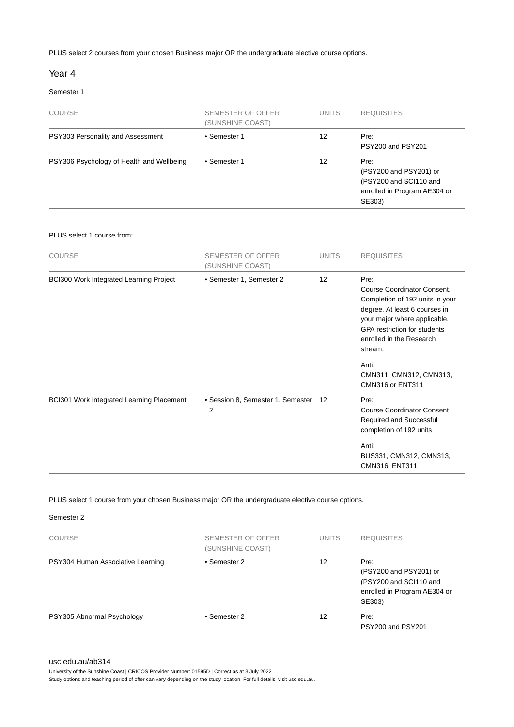PLUS select 2 courses from your chosen Business major OR the undergraduate elective course options.

#### Year 4

#### Semester 1

| <b>COURSE</b>                             | SEMESTER OF OFFER<br>(SUNSHINE COAST) | <b>UNITS</b> | <b>REQUISITES</b>                                                                                  |
|-------------------------------------------|---------------------------------------|--------------|----------------------------------------------------------------------------------------------------|
| PSY303 Personality and Assessment         | • Semester 1                          | 12           | Pre:<br>PSY200 and PSY201                                                                          |
| PSY306 Psychology of Health and Wellbeing | • Semester 1                          | 12           | Pre:<br>(PSY200 and PSY201) or<br>(PSY200 and SCI110 and<br>enrolled in Program AE304 or<br>SE303) |

#### PLUS select 1 course from:

| <b>COURSE</b>                                  | <b>SEMESTER OF OFFER</b><br>(SUNSHINE COAST) | <b>UNITS</b> | <b>REQUISITES</b>                                                                                                                                                                                                     |
|------------------------------------------------|----------------------------------------------|--------------|-----------------------------------------------------------------------------------------------------------------------------------------------------------------------------------------------------------------------|
| <b>BCI300 Work Integrated Learning Project</b> | • Semester 1, Semester 2                     | 12           | Pre:<br>Course Coordinator Consent.<br>Completion of 192 units in your<br>degree. At least 6 courses in<br>your major where applicable.<br><b>GPA</b> restriction for students<br>enrolled in the Research<br>stream. |
|                                                |                                              |              | Anti:<br>CMN311, CMN312, CMN313,<br>CMN316 or ENT311                                                                                                                                                                  |
| BCI301 Work Integrated Learning Placement      | • Session 8, Semester 1, Semester<br>2       | 12           | Pre:<br><b>Course Coordinator Consent</b><br>Required and Successful<br>completion of 192 units                                                                                                                       |
|                                                |                                              |              | Anti:<br>BUS331, CMN312, CMN313,<br>CMN316, ENT311                                                                                                                                                                    |

PLUS select 1 course from your chosen Business major OR the undergraduate elective course options.

Semester 2

| <b>COURSE</b>                     | SEMESTER OF OFFER<br>(SUNSHINE COAST) | <b>UNITS</b> | <b>REQUISITES</b>                                                                                  |
|-----------------------------------|---------------------------------------|--------------|----------------------------------------------------------------------------------------------------|
| PSY304 Human Associative Learning | • Semester 2                          | 12           | Pre:<br>(PSY200 and PSY201) or<br>(PSY200 and SCI110 and<br>enrolled in Program AE304 or<br>SE303) |
| PSY305 Abnormal Psychology        | • Semester 2                          | 12           | Pre:<br>PSY200 and PSY201                                                                          |

[usc.edu.au/ab314](https://www.usc.edu.au/ab314)

University of the Sunshine Coast | CRICOS Provider Number: 01595D | Correct as at 3 July 2022

Study options and teaching period of offer can vary depending on the study location. For full details, visit usc.edu.au.